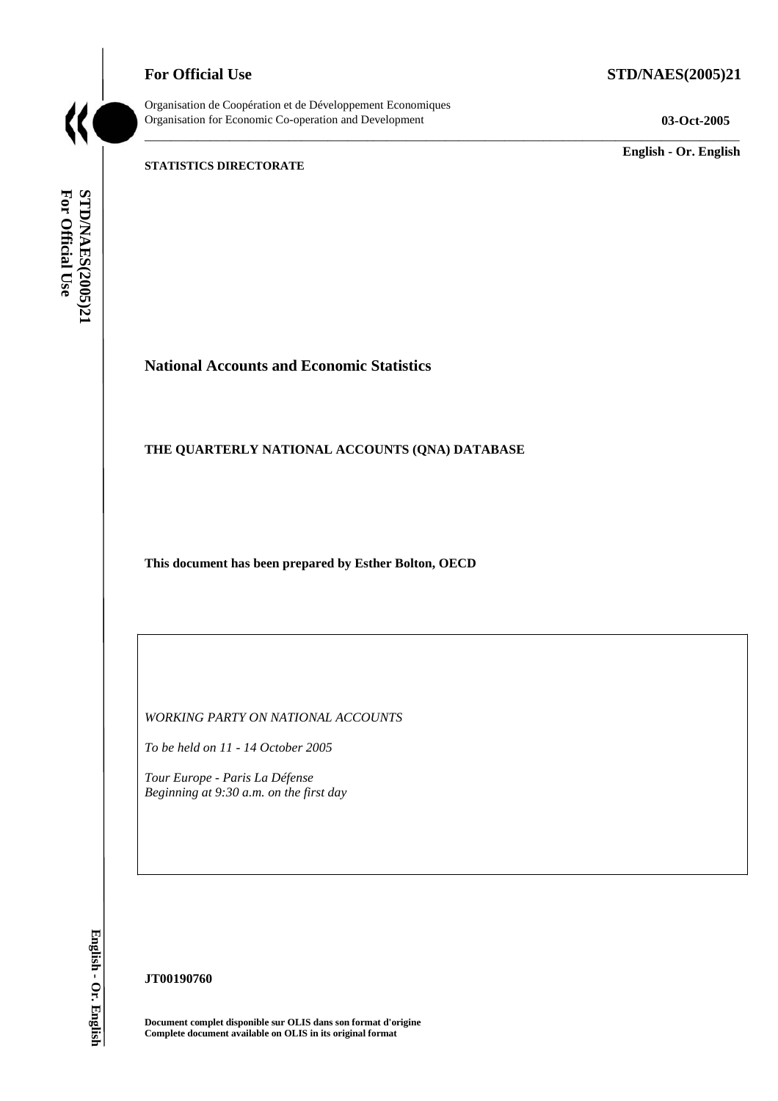**For Official Use STD/NAES(2005)21** 



Organisation de Coopération et de Développement Economiques Organisation for Economic Co-operation and Development **03-Oct-2005** 

\_\_\_\_\_\_\_\_\_\_\_\_\_\_\_\_\_\_\_\_\_\_\_\_\_\_\_\_\_\_\_\_\_\_\_\_\_\_\_\_\_\_\_\_\_\_\_\_\_\_\_\_\_\_\_\_\_\_\_\_\_\_\_\_\_\_\_\_\_\_\_\_\_\_\_\_\_\_\_\_\_\_\_\_\_\_\_\_\_\_\_

\_\_\_\_\_\_\_\_\_\_\_\_\_ **English - Or. English** 

#### **STATISTICS DIRECTORATE**

STD/NAES(2005)21 For Official Use **For Official Use STD/NAES(2005)21 English - Or. English**

# **National Accounts and Economic Statistics**

#### **THE QUARTERLY NATIONAL ACCOUNTS (QNA) DATABASE**

**This document has been prepared by Esther Bolton, OECD** 

*WORKING PARTY ON NATIONAL ACCOUNTS* 

*To be held on 11 - 14 October 2005* 

*Tour Europe - Paris La Défense Beginning at 9:30 a.m. on the first day* 

English - Or. English

#### **JT00190760**

**Document complet disponible sur OLIS dans son format d'origine Complete document available on OLIS in its original format**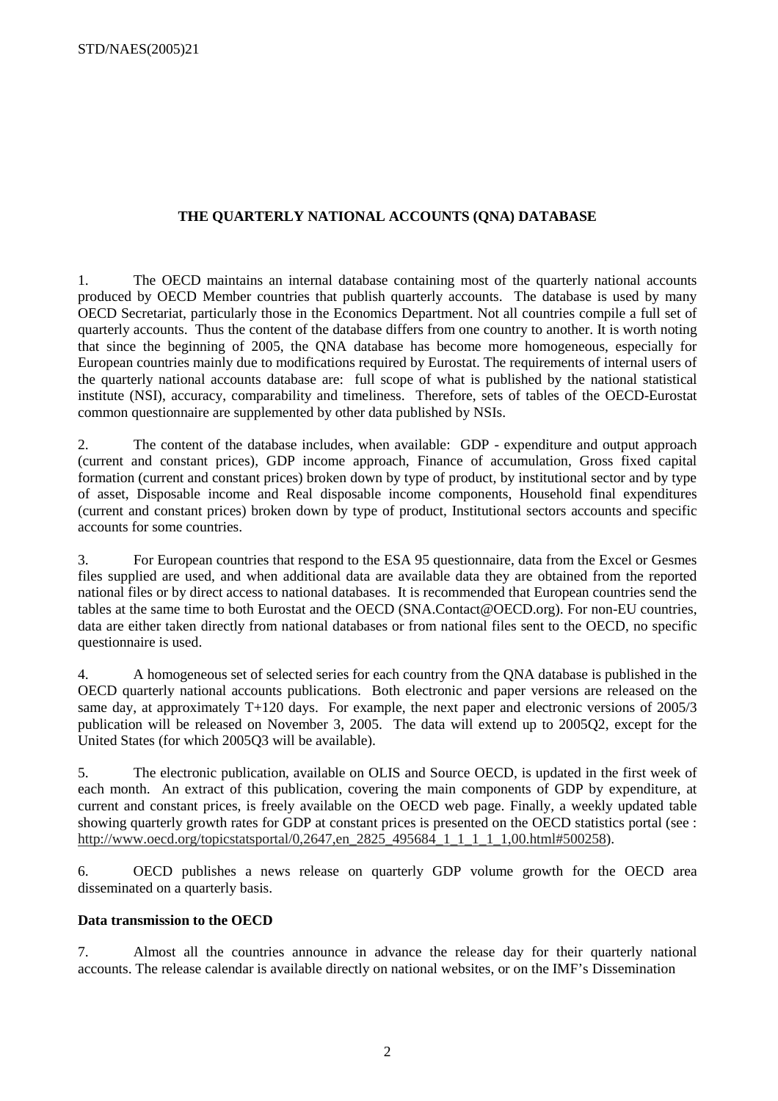### **THE QUARTERLY NATIONAL ACCOUNTS (QNA) DATABASE**

1. The OECD maintains an internal database containing most of the quarterly national accounts produced by OECD Member countries that publish quarterly accounts. The database is used by many OECD Secretariat, particularly those in the Economics Department. Not all countries compile a full set of quarterly accounts. Thus the content of the database differs from one country to another. It is worth noting that since the beginning of 2005, the QNA database has become more homogeneous, especially for European countries mainly due to modifications required by Eurostat. The requirements of internal users of the quarterly national accounts database are: full scope of what is published by the national statistical institute (NSI), accuracy, comparability and timeliness. Therefore, sets of tables of the OECD-Eurostat common questionnaire are supplemented by other data published by NSIs.

2. The content of the database includes, when available: GDP - expenditure and output approach (current and constant prices), GDP income approach, Finance of accumulation, Gross fixed capital formation (current and constant prices) broken down by type of product, by institutional sector and by type of asset, Disposable income and Real disposable income components, Household final expenditures (current and constant prices) broken down by type of product, Institutional sectors accounts and specific accounts for some countries.

3. For European countries that respond to the ESA 95 questionnaire, data from the Excel or Gesmes files supplied are used, and when additional data are available data they are obtained from the reported national files or by direct access to national databases. It is recommended that European countries send the tables at the same time to both Eurostat and the OECD (SNA.Contact@OECD.org). For non-EU countries, data are either taken directly from national databases or from national files sent to the OECD, no specific questionnaire is used.

4. A homogeneous set of selected series for each country from the QNA database is published in the OECD quarterly national accounts publications. Both electronic and paper versions are released on the same day, at approximately T+120 days. For example, the next paper and electronic versions of 2005/3 publication will be released on November 3, 2005. The data will extend up to 2005Q2, except for the United States (for which 2005Q3 will be available).

5. The electronic publication, available on OLIS and Source OECD, is updated in the first week of each month. An extract of this publication, covering the main components of GDP by expenditure, at current and constant prices, is freely available on the OECD web page. Finally, a weekly updated table showing quarterly growth rates for GDP at constant prices is presented on the OECD statistics portal (see : http://www.oecd.org/topicstatsportal/0,2647,en\_2825\_495684\_1\_1\_1\_1\_1,00.html#500258).

6. OECD publishes a news release on quarterly GDP volume growth for the OECD area disseminated on a quarterly basis.

#### **Data transmission to the OECD**

7. Almost all the countries announce in advance the release day for their quarterly national accounts. The release calendar is available directly on national websites, or on the IMF's Dissemination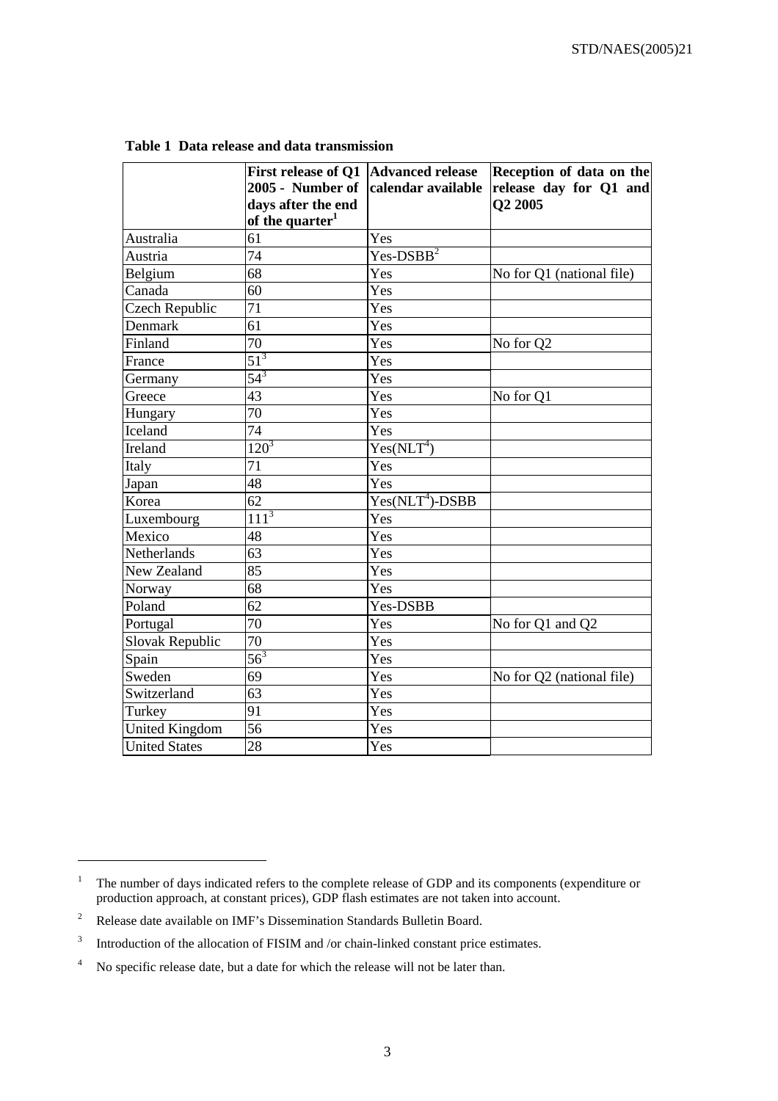|                       | First release of Q1   Advanced release |                        | Reception of data on the  |  |  |  |
|-----------------------|----------------------------------------|------------------------|---------------------------|--|--|--|
|                       | 2005 - Number of                       | calendar available     | release day for Q1 and    |  |  |  |
|                       | days after the end                     |                        | Q2 2005                   |  |  |  |
|                       | of the quarter <sup>1</sup>            |                        |                           |  |  |  |
| Australia             | 61                                     | Yes                    |                           |  |  |  |
| Austria               | 74                                     | $Yes\text{-}DSBB^2$    |                           |  |  |  |
| Belgium               | 68                                     | Yes                    | No for Q1 (national file) |  |  |  |
| Canada                | 60                                     | Yes                    |                           |  |  |  |
| <b>Czech Republic</b> | 71                                     | Yes                    |                           |  |  |  |
| Denmark               | 61                                     | Yes                    |                           |  |  |  |
| Finland               | 70                                     | Yes                    | No for Q2                 |  |  |  |
| France                | $51^3$                                 | Yes                    |                           |  |  |  |
| Germany               | $54^{3}$                               | Yes                    |                           |  |  |  |
| Greece                | 43                                     | Yes                    | No for Q1                 |  |  |  |
| Hungary               | 70                                     | Yes                    |                           |  |  |  |
| Iceland               | 74                                     | Yes                    |                           |  |  |  |
| Ireland               | $120^{3}$                              | Yes(NLT <sup>4</sup> ) |                           |  |  |  |
| Italy                 | 71                                     | Yes                    |                           |  |  |  |
| Japan                 | 48                                     | Yes                    |                           |  |  |  |
| Korea                 | 62                                     | $Yes(NLT4)-DSBB$       |                           |  |  |  |
| Luxembourg            | $111^{3}$                              | Yes                    |                           |  |  |  |
| Mexico                | 48                                     | Yes                    |                           |  |  |  |
| Netherlands           | 63                                     | Yes                    |                           |  |  |  |
| New Zealand           | 85                                     | Yes                    |                           |  |  |  |
| Norway                | 68                                     | Yes                    |                           |  |  |  |
| Poland                | 62                                     | Yes-DSBB               |                           |  |  |  |
| Portugal              | 70                                     | Yes                    | No for Q1 and Q2          |  |  |  |
| Slovak Republic       | 70                                     | Yes                    |                           |  |  |  |
| Spain                 | $56^3$                                 | Yes                    |                           |  |  |  |
| Sweden                | 69                                     | Yes                    | No for Q2 (national file) |  |  |  |
| Switzerland           | 63                                     | Yes                    |                           |  |  |  |
| Turkey                | 91                                     | Yes                    |                           |  |  |  |
| <b>United Kingdom</b> | 56                                     | Yes                    |                           |  |  |  |
| <b>United States</b>  | 28                                     | Yes                    |                           |  |  |  |

**Table 1 Data release and data transmission** 

 $\overline{a}$ 

<sup>1</sup> The number of days indicated refers to the complete release of GDP and its components (expenditure or production approach, at constant prices), GDP flash estimates are not taken into account.

<sup>2</sup> Release date available on IMF's Dissemination Standards Bulletin Board.

<sup>3</sup> Introduction of the allocation of FISIM and /or chain-linked constant price estimates.

<sup>4</sup> No specific release date, but a date for which the release will not be later than.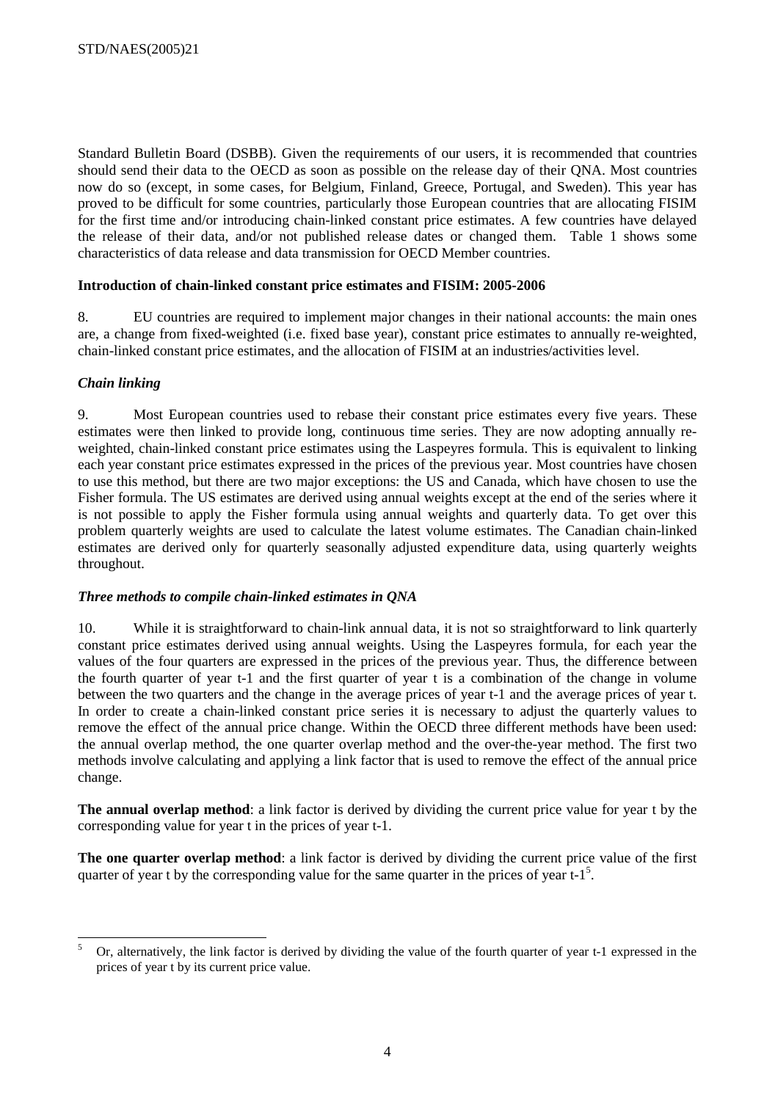Standard Bulletin Board (DSBB). Given the requirements of our users, it is recommended that countries should send their data to the OECD as soon as possible on the release day of their QNA. Most countries now do so (except, in some cases, for Belgium, Finland, Greece, Portugal, and Sweden). This year has proved to be difficult for some countries, particularly those European countries that are allocating FISIM for the first time and/or introducing chain-linked constant price estimates. A few countries have delayed the release of their data, and/or not published release dates or changed them. Table 1 shows some characteristics of data release and data transmission for OECD Member countries.

#### **Introduction of chain-linked constant price estimates and FISIM: 2005-2006**

8. EU countries are required to implement major changes in their national accounts: the main ones are, a change from fixed-weighted (i.e. fixed base year), constant price estimates to annually re-weighted, chain-linked constant price estimates, and the allocation of FISIM at an industries/activities level.

#### *Chain linking*

9. Most European countries used to rebase their constant price estimates every five years. These estimates were then linked to provide long, continuous time series. They are now adopting annually reweighted, chain-linked constant price estimates using the Laspeyres formula. This is equivalent to linking each year constant price estimates expressed in the prices of the previous year. Most countries have chosen to use this method, but there are two major exceptions: the US and Canada, which have chosen to use the Fisher formula. The US estimates are derived using annual weights except at the end of the series where it is not possible to apply the Fisher formula using annual weights and quarterly data. To get over this problem quarterly weights are used to calculate the latest volume estimates. The Canadian chain-linked estimates are derived only for quarterly seasonally adjusted expenditure data, using quarterly weights throughout.

#### *Three methods to compile chain-linked estimates in QNA*

10. While it is straightforward to chain-link annual data, it is not so straightforward to link quarterly constant price estimates derived using annual weights. Using the Laspeyres formula, for each year the values of the four quarters are expressed in the prices of the previous year. Thus, the difference between the fourth quarter of year t-1 and the first quarter of year t is a combination of the change in volume between the two quarters and the change in the average prices of year t-1 and the average prices of year t. In order to create a chain-linked constant price series it is necessary to adjust the quarterly values to remove the effect of the annual price change. Within the OECD three different methods have been used: the annual overlap method, the one quarter overlap method and the over-the-year method. The first two methods involve calculating and applying a link factor that is used to remove the effect of the annual price change.

**The annual overlap method**: a link factor is derived by dividing the current price value for year t by the corresponding value for year t in the prices of year t-1.

**The one quarter overlap method**: a link factor is derived by dividing the current price value of the first quarter of year t by the corresponding value for the same quarter in the prices of year  $t-1^5$ .

 5 Or, alternatively, the link factor is derived by dividing the value of the fourth quarter of year t-1 expressed in the prices of year t by its current price value.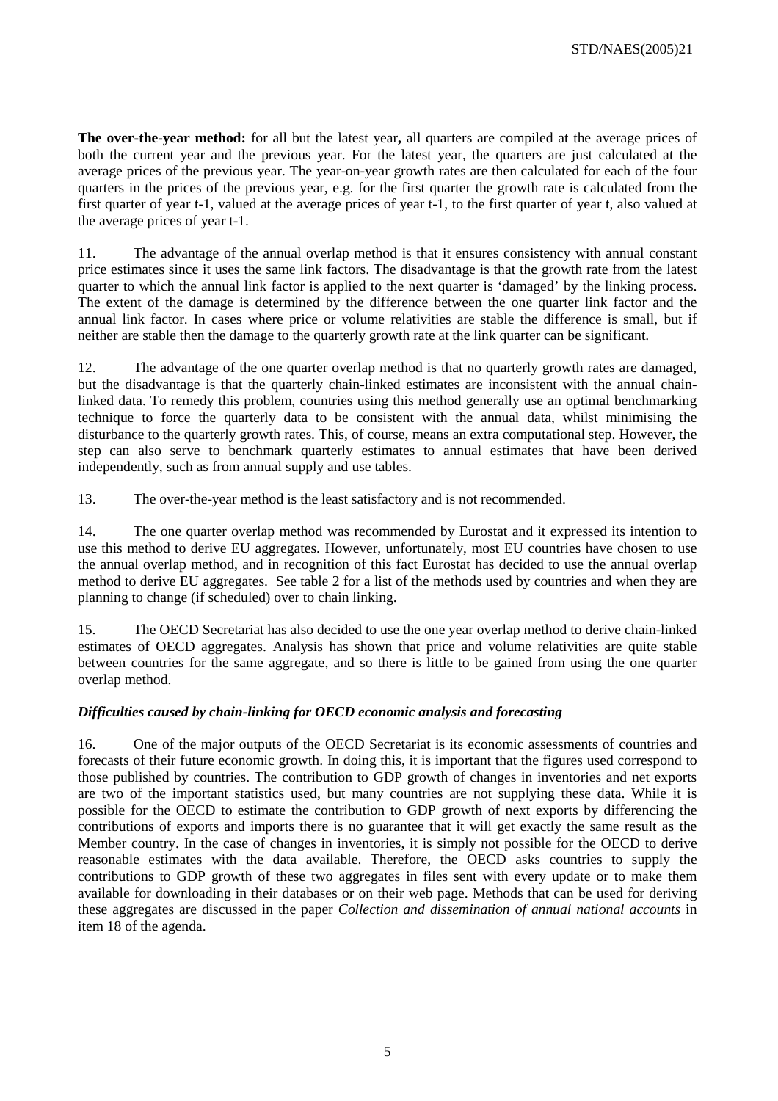**The over-the-year method:** for all but the latest year**,** all quarters are compiled at the average prices of both the current year and the previous year. For the latest year, the quarters are just calculated at the average prices of the previous year. The year-on-year growth rates are then calculated for each of the four quarters in the prices of the previous year, e.g. for the first quarter the growth rate is calculated from the first quarter of year t-1, valued at the average prices of year t-1, to the first quarter of year t, also valued at the average prices of year t-1.

11. The advantage of the annual overlap method is that it ensures consistency with annual constant price estimates since it uses the same link factors. The disadvantage is that the growth rate from the latest quarter to which the annual link factor is applied to the next quarter is 'damaged' by the linking process. The extent of the damage is determined by the difference between the one quarter link factor and the annual link factor. In cases where price or volume relativities are stable the difference is small, but if neither are stable then the damage to the quarterly growth rate at the link quarter can be significant.

12. The advantage of the one quarter overlap method is that no quarterly growth rates are damaged, but the disadvantage is that the quarterly chain-linked estimates are inconsistent with the annual chainlinked data. To remedy this problem, countries using this method generally use an optimal benchmarking technique to force the quarterly data to be consistent with the annual data, whilst minimising the disturbance to the quarterly growth rates. This, of course, means an extra computational step. However, the step can also serve to benchmark quarterly estimates to annual estimates that have been derived independently, such as from annual supply and use tables.

13. The over-the-year method is the least satisfactory and is not recommended.

14. The one quarter overlap method was recommended by Eurostat and it expressed its intention to use this method to derive EU aggregates. However, unfortunately, most EU countries have chosen to use the annual overlap method, and in recognition of this fact Eurostat has decided to use the annual overlap method to derive EU aggregates. See table 2 for a list of the methods used by countries and when they are planning to change (if scheduled) over to chain linking.

15. The OECD Secretariat has also decided to use the one year overlap method to derive chain-linked estimates of OECD aggregates. Analysis has shown that price and volume relativities are quite stable between countries for the same aggregate, and so there is little to be gained from using the one quarter overlap method.

## *Difficulties caused by chain-linking for OECD economic analysis and forecasting*

16. One of the major outputs of the OECD Secretariat is its economic assessments of countries and forecasts of their future economic growth. In doing this, it is important that the figures used correspond to those published by countries. The contribution to GDP growth of changes in inventories and net exports are two of the important statistics used, but many countries are not supplying these data. While it is possible for the OECD to estimate the contribution to GDP growth of next exports by differencing the contributions of exports and imports there is no guarantee that it will get exactly the same result as the Member country. In the case of changes in inventories, it is simply not possible for the OECD to derive reasonable estimates with the data available. Therefore, the OECD asks countries to supply the contributions to GDP growth of these two aggregates in files sent with every update or to make them available for downloading in their databases or on their web page. Methods that can be used for deriving these aggregates are discussed in the paper *Collection and dissemination of annual national accounts* in item 18 of the agenda.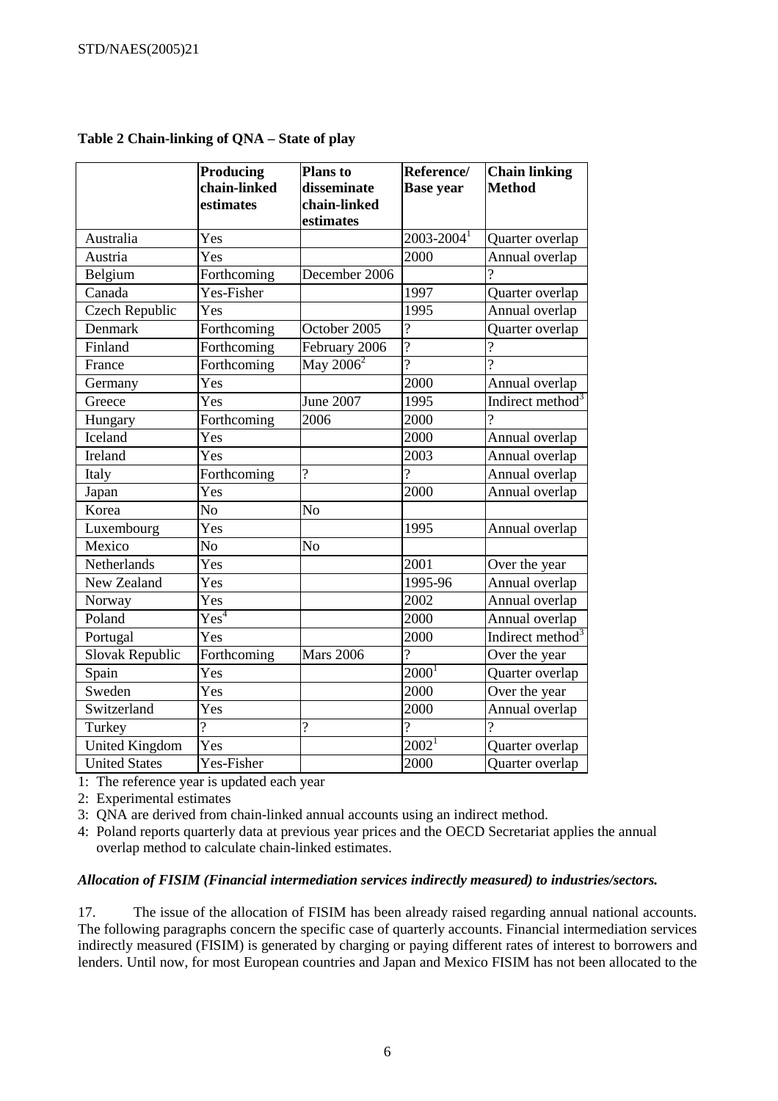|                       | Producing<br>chain-linked | <b>Plans</b> to             | Reference/                 | <b>Chain linking</b>         |  |
|-----------------------|---------------------------|-----------------------------|----------------------------|------------------------------|--|
|                       | estimates                 | disseminate<br>chain-linked | <b>Base year</b>           | <b>Method</b>                |  |
|                       |                           | estimates                   |                            |                              |  |
| Australia             | Yes                       |                             | $2003 - 2004$ <sup>1</sup> | Quarter overlap              |  |
| Austria               | $\overline{\mathrm{Yes}}$ |                             | 2000                       | Annual overlap               |  |
| Belgium               | Forthcoming               | December 2006               |                            | $\mathcal{P}$                |  |
| Canada                | Yes-Fisher                |                             | 1997                       | Quarter overlap              |  |
| <b>Czech Republic</b> | Yes                       |                             | 1995                       | Annual overlap               |  |
| Denmark               | Forthcoming               | October 2005                | $\overline{?}$             | Quarter overlap              |  |
| Finland               | Forthcoming               | February 2006               | $\overline{?}$             | $\overline{?}$               |  |
| France                | Forthcoming               | May $2006^2$                | $\overline{2}$             | $\gamma$                     |  |
| Germany               | Yes                       |                             | 2000                       | Annual overlap               |  |
| Greece                | Yes                       | <b>June 2007</b>            | 1995                       | Indirect method <sup>3</sup> |  |
| Hungary               | Forthcoming               | 2006                        | 2000                       | $\gamma$                     |  |
| Iceland               | Yes                       |                             | 2000                       | Annual overlap               |  |
| Ireland               | Yes                       |                             | 2003                       | Annual overlap               |  |
| Italy                 | Forthcoming               | $\overline{?}$              | $\overline{?}$             | Annual overlap               |  |
| Japan                 | Yes                       |                             | 2000                       | Annual overlap               |  |
| Korea                 | $\overline{No}$           | N <sub>o</sub>              |                            |                              |  |
| Luxembourg            | Yes                       |                             | 1995                       | Annual overlap               |  |
| Mexico                | No                        | No                          |                            |                              |  |
| Netherlands           | $\overline{Yes}$          |                             | 2001                       | Over the year                |  |
| New Zealand           | Yes                       |                             | 1995-96                    | Annual overlap               |  |
| Norway                | Yes                       |                             | 2002                       | Annual overlap               |  |
| Poland                | Yes <sup>4</sup>          |                             | 2000                       | Annual overlap               |  |
| Portugal              | Yes                       |                             | 2000                       | Indirect method <sup>3</sup> |  |
| Slovak Republic       | Forthcoming               | <b>Mars 2006</b>            | $\overline{?}$             | Over the year                |  |
| Spain                 | Yes                       |                             | $2000^1$                   | Quarter overlap              |  |
| Sweden                | Yes                       |                             | 2000                       | Over the year                |  |
| Switzerland           | Yes                       |                             | 2000                       | Annual overlap               |  |
| Turkey                | $\gamma$                  | $\overline{\mathcal{L}}$    | $\gamma$                   | $\gamma$                     |  |
| <b>United Kingdom</b> | Yes                       |                             | $2002^1$                   | Quarter overlap              |  |
| <b>United States</b>  | $\overline{Y}$ es-Fisher  |                             | 2000                       | Quarter overlap              |  |

**Table 2 Chain-linking of QNA – State of play** 

1: The reference year is updated each year

2: Experimental estimates

3: QNA are derived from chain-linked annual accounts using an indirect method.

4: Poland reports quarterly data at previous year prices and the OECD Secretariat applies the annual overlap method to calculate chain-linked estimates.

#### *Allocation of FISIM (Financial intermediation services indirectly measured) to industries/sectors.*

17. The issue of the allocation of FISIM has been already raised regarding annual national accounts. The following paragraphs concern the specific case of quarterly accounts. Financial intermediation services indirectly measured (FISIM) is generated by charging or paying different rates of interest to borrowers and lenders. Until now, for most European countries and Japan and Mexico FISIM has not been allocated to the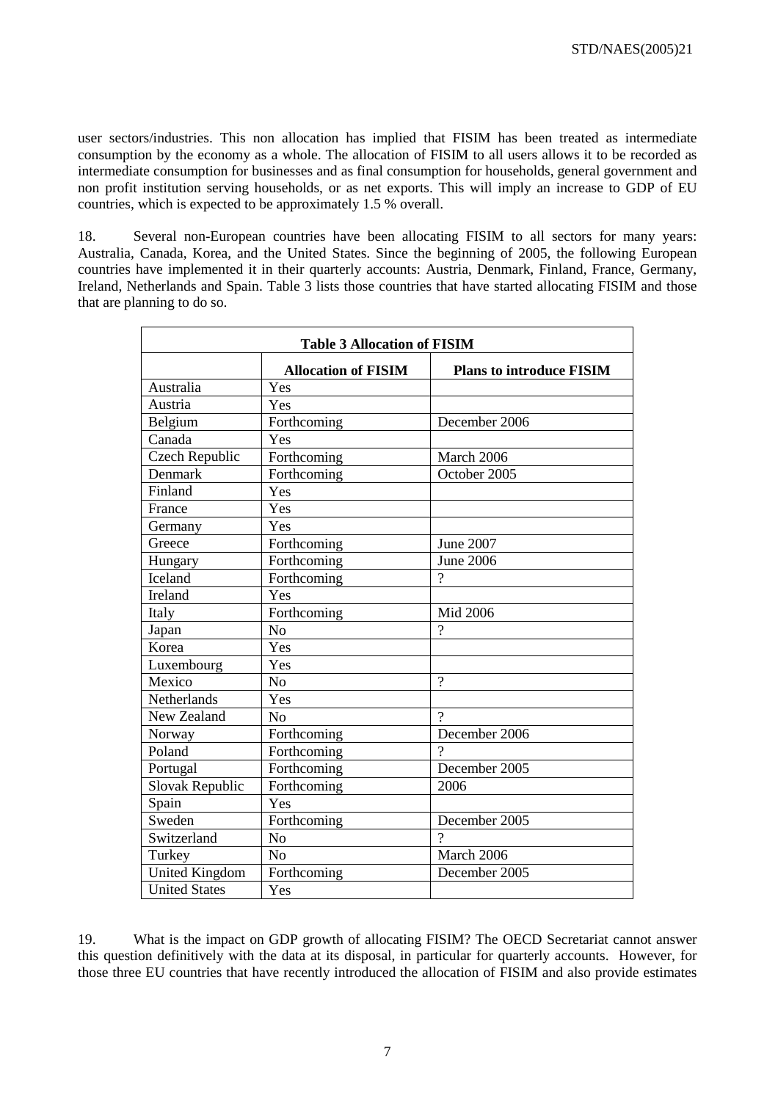user sectors/industries. This non allocation has implied that FISIM has been treated as intermediate consumption by the economy as a whole. The allocation of FISIM to all users allows it to be recorded as intermediate consumption for businesses and as final consumption for households, general government and non profit institution serving households, or as net exports. This will imply an increase to GDP of EU countries, which is expected to be approximately 1.5 % overall.

18. Several non-European countries have been allocating FISIM to all sectors for many years: Australia, Canada, Korea, and the United States. Since the beginning of 2005, the following European countries have implemented it in their quarterly accounts: Austria, Denmark, Finland, France, Germany, Ireland, Netherlands and Spain. Table 3 lists those countries that have started allocating FISIM and those that are planning to do so.

| <b>Table 3 Allocation of FISIM</b> |                            |                                 |  |  |  |
|------------------------------------|----------------------------|---------------------------------|--|--|--|
|                                    | <b>Allocation of FISIM</b> | <b>Plans to introduce FISIM</b> |  |  |  |
| Australia                          | Yes                        |                                 |  |  |  |
| Austria                            | Yes                        |                                 |  |  |  |
| Belgium                            | Forthcoming                | December 2006                   |  |  |  |
| Canada                             | Yes                        |                                 |  |  |  |
| <b>Czech Republic</b>              | Forthcoming                | March 2006                      |  |  |  |
| Denmark                            | Forthcoming                | October 2005                    |  |  |  |
| Finland                            | Yes                        |                                 |  |  |  |
| France                             | Yes                        |                                 |  |  |  |
| Germany                            | Yes                        |                                 |  |  |  |
| Greece                             | Forthcoming                | June 2007                       |  |  |  |
| Hungary                            | Forthcoming                | <b>June 2006</b>                |  |  |  |
| <b>Iceland</b>                     | Forthcoming                | $\gamma$                        |  |  |  |
| Ireland                            | Yes                        |                                 |  |  |  |
| Italy                              | Forthcoming                | Mid 2006                        |  |  |  |
| Japan                              | No                         | $\gamma$                        |  |  |  |
| Korea                              | $\overline{\text{Yes}}$    |                                 |  |  |  |
| Luxembourg                         | Yes                        |                                 |  |  |  |
| Mexico                             | N <sub>o</sub>             | $\gamma$                        |  |  |  |
| Netherlands                        | Yes                        |                                 |  |  |  |
| New Zealand                        | N <sub>o</sub>             | $\gamma$                        |  |  |  |
| Norway                             | Forthcoming                | December 2006                   |  |  |  |
| Poland                             | Forthcoming                | 9                               |  |  |  |
| Portugal                           | Forthcoming                | December 2005                   |  |  |  |
| Slovak Republic                    | Forthcoming                | 2006                            |  |  |  |
| Spain                              | Yes                        |                                 |  |  |  |
| Sweden                             | Forthcoming                | December 2005                   |  |  |  |
| Switzerland                        | $\overline{No}$            | $\mathcal{D}$                   |  |  |  |
| Turkey                             | No                         | March 2006                      |  |  |  |
| <b>United Kingdom</b>              | Forthcoming                | December 2005                   |  |  |  |
| <b>United States</b>               | Yes                        |                                 |  |  |  |

19. What is the impact on GDP growth of allocating FISIM? The OECD Secretariat cannot answer this question definitively with the data at its disposal, in particular for quarterly accounts. However, for those three EU countries that have recently introduced the allocation of FISIM and also provide estimates